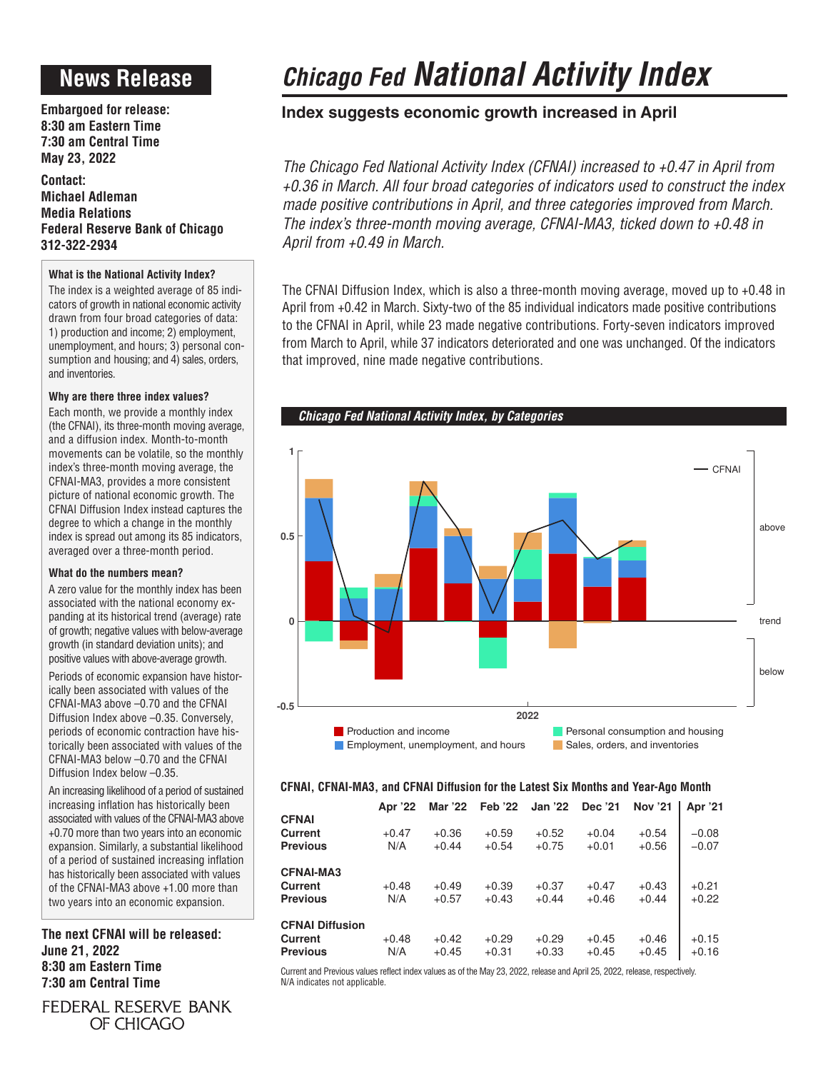# **News Release**

**Embargoed for release: 8:30 am Eastern Time 7:30 am Central Time May 23, 2022**

**Contact: Michael Adleman Media Relations Federal Reserve Bank of Chicago 312-322-2934**

### **What is the National Activity Index?**

The index is a weighted average of 85 indicators of growth in national economic activity drawn from four broad categories of data: 1) production and income; 2) employment, unemployment, and hours; 3) personal consumption and housing; and 4) sales, orders, and inventories.

### **Why are there three index values?**

Each month, we provide a monthly index (the CFNAI), its three-month moving average, and a diffusion index. Month-to-month movements can be volatile, so the monthly index's three-month moving average, the CFNAI-MA3, provides a more consistent picture of national economic growth. The CFNAI Diffusion Index instead captures the degree to which a change in the monthly index is spread out among its 85 indicators, averaged over a three-month period.

### **What do the numbers mean?**

A zero value for the monthly index has been associated with the national economy expanding at its historical trend (average) rate of growth; negative values with below-average growth (in standard deviation units); and positive values with above-average growth.

Periods of economic expansion have historically been associated with values of the CFNAI-MA3 above –0.70 and the CFNAI Diffusion Index above –0.35. Conversely, periods of economic contraction have historically been associated with values of the CFNAI-MA3 below –0.70 and the CFNAI Diffusion Index below –0.35.

An increasing likelihood of a period of sustained increasing inflation has historically been associated with values of the CFNAI-MA3 above +0.70 more than two years into an economic expansion. Similarly, a substantial likelihood of a period of sustained increasing inflation has historically been associated with values of the CFNAI-MA3 above +1.00 more than two years into an economic expansion.

**The next CFNAI will be released: June 21, 2022 8:30 am Eastern Time 7:30 am Central Time**

### FEDERAL RESERVE BANK OF CHICAGO

# *Chicago Fed National Activity Index*

## **Index suggests economic growth increased in April**

*The Chicago Fed National Activity Index (CFNAI) increased to +0.47 in April from +0.36 in March. All four broad categories of indicators used to construct the index made positive contributions in April, and three categories improved from March. The index's three-month moving average, CFNAI-MA3, ticked down to +0.48 in April from +0.49 in March.*

The CFNAI Diffusion Index, which is also a three-month moving average, moved up to +0.48 in April from +0.42 in March. Sixty-two of the 85 individual indicators made positive contributions to the CFNAI in April, while 23 made negative contributions. Forty-seven indicators improved from March to April, while 37 indicators deteriorated and one was unchanged. Of the indicators that improved, nine made negative contributions.



### **CFNAI, CFNAI-MA3, and CFNAI Diffusion for the Latest Six Months and Year-Ago Month**

| Apr '22 | Mar '22                   |                               | Jan '22                       | Dec '21                                         | <b>Nov '21</b>                | Apr '21                       |
|---------|---------------------------|-------------------------------|-------------------------------|-------------------------------------------------|-------------------------------|-------------------------------|
|         |                           |                               |                               |                                                 |                               |                               |
| N/A     | $+0.44$                   | $+0.54$                       | $+0.75$                       | $+0.01$                                         | $+0.56$                       | $-0.08$<br>$-0.07$            |
|         |                           |                               |                               |                                                 |                               |                               |
| $+0.48$ | $+0.49$                   | $+0.39$                       | $+0.37$                       | $+0.47$                                         | $+0.43$                       | $+0.21$                       |
|         |                           |                               |                               |                                                 |                               | $+0.22$                       |
|         |                           |                               |                               |                                                 |                               |                               |
| N/A     | $+0.45$                   | $+0.31$                       | $+0.33$                       | $+0.45$                                         | $+0.45$                       | $+0.15$<br>$+0.16$            |
|         | $+0.47$<br>N/A<br>$+0.48$ | $+0.36$<br>$+0.57$<br>$+0.42$ | $+0.59$<br>$+0.43$<br>$+0.29$ | <b>Feb '22</b><br>$+0.52$<br>$+0.44$<br>$+0.29$ | $+0.04$<br>$+0.46$<br>$+0.45$ | $+0.54$<br>$+0.44$<br>$+0.46$ |

Current and Previous values reflect index values as of the May 23, 2022, release and April 25, 2022, release, respectively. N/A indicates not applicable.